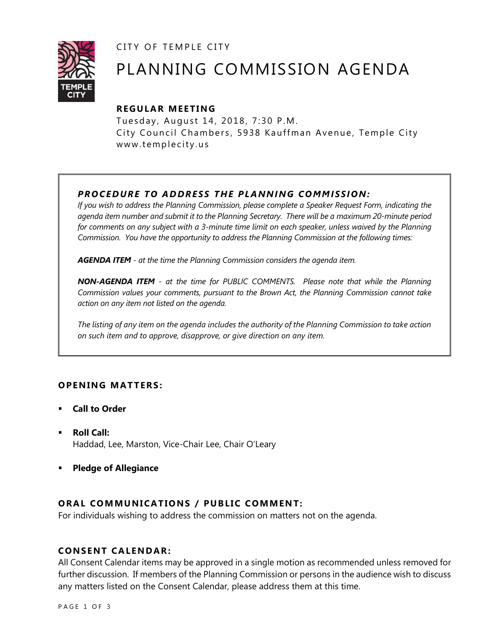CITY OF TEMPLE CITY



# PLANNING COMMISSION AGENDA

# **R EGULA R MEE TING**

Tuesday, August 14, 2018, 7:30 P.M. City Council Chambers, 5938 Kauffman Avenue, Temple City www.templecity.us

# *PRO CE DURE TO ADDRE SS THE P LA NNI NG COMM I SSION:*

*If you wish to address the Planning Commission, please complete a Speaker Request Form, indicating the agenda item number and submit it to the Planning Secretary. There will be a maximum 20-minute period*  for comments on any subject with a 3-minute time limit on each speaker, unless waived by the Planning *Commission. You have the opportunity to address the Planning Commission at the following times:*

*AGENDA ITEM - at the time the Planning Commission considers the agenda item.*

*NON-AGENDA ITEM - at the time for PUBLIC COMMENTS. Please note that while the Planning Commission values your comments, pursuant to the Brown Act, the Planning Commission cannot take action on any item not listed on the agenda.*

*The listing of any item on the agenda includes the authority of the Planning Commission to take action on such item and to approve, disapprove, or give direction on any item.*

# **OPENING MATTERS:**

- **Call to Order**
- **Roll Call:** Haddad, Lee, Marston, Vice-Chair Lee, Chair O'Leary
- **Pledge of Allegiance**

# **ORAL COMMUNICATIONS / PUBLIC COMMENT:**

For individuals wishing to address the commission on matters not on the agenda.

## **CONSENT CA LENDAR:**

All Consent Calendar items may be approved in a single motion as recommended unless removed for further discussion. If members of the Planning Commission or persons in the audience wish to discuss any matters listed on the Consent Calendar, please address them at this time.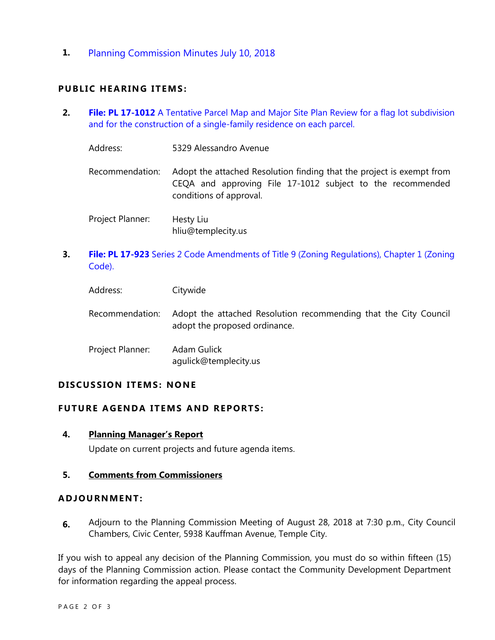**1.** [Planning Commission Minutes July 10, 2018](http://www.ci.temple-city.ca.us/DocumentCenter/View/10781/Item-1-Planning-Commission-Minutes-July-10)

## **PUBLIC HEARING ITEMS:**

- **2. File: PL 17-1012** [A Tentative Parcel Map and Major Site Plan Review for a flag lot subdivision](http://www.ci.temple-city.ca.us/DocumentCenter/View/10782/Item-2-5329-Alessandro-Ave-Tentative-Parcel-Map-and-Site-Plan-Review-for-Flag-Lot)  [and for the construction of a single-family residence on each parcel.](http://www.ci.temple-city.ca.us/DocumentCenter/View/10782/Item-2-5329-Alessandro-Ave-Tentative-Parcel-Map-and-Site-Plan-Review-for-Flag-Lot)
	- Address: 5329 Alessandro Avenue
	- Recommendation: Adopt the attached Resolution finding that the project is exempt from CEQA and approving File 17-1012 subject to the recommended conditions of approval.
	- Project Planner: Hesty Liu hliu@templecity.us
- **3. File: PL 17-923** [Series 2 Code Amendments of Title 9 \(Zoning Regulations\), Chapter 1 \(Zoning](http://www.ci.temple-city.ca.us/DocumentCenter/View/10783/Item-3-PL-17-923-Series-2-Code-Amendments-of-Title-9)  [Code\).](http://www.ci.temple-city.ca.us/DocumentCenter/View/10783/Item-3-PL-17-923-Series-2-Code-Amendments-of-Title-9)

| Address:         | Citywide                                                                                          |
|------------------|---------------------------------------------------------------------------------------------------|
| Recommendation:  | Adopt the attached Resolution recommending that the City Council<br>adopt the proposed ordinance. |
| Project Planner: | Adam Gulick<br>agulick@templecity.us                                                              |

## **D ISCUSSION ITEMS : NONE**

## **FUTURE AGENDA ITEMS AND REPORTS:**

**4. Planning Manager's Report** Update on current projects and future agenda items.

## **5. Comments from Commissioners**

### **ADJOU RNMENT:**

**6.** Adjourn to the Planning Commission Meeting of August 28, 2018 at 7:30 p.m., City Council Chambers, Civic Center, 5938 Kauffman Avenue, Temple City.

If you wish to appeal any decision of the Planning Commission, you must do so within fifteen (15) days of the Planning Commission action. Please contact the Community Development Department for information regarding the appeal process.